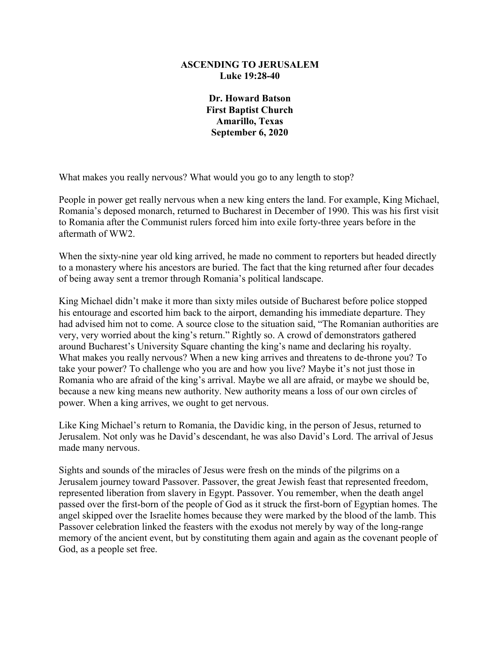## **ASCENDING TO JERUSALEM Luke 19:28-40**

**Dr. Howard Batson First Baptist Church Amarillo, Texas September 6, 2020**

What makes you really nervous? What would you go to any length to stop?

People in power get really nervous when a new king enters the land. For example, King Michael, Romania's deposed monarch, returned to Bucharest in December of 1990. This was his first visit to Romania after the Communist rulers forced him into exile forty-three years before in the aftermath of WW2.

When the sixty-nine year old king arrived, he made no comment to reporters but headed directly to a monastery where his ancestors are buried. The fact that the king returned after four decades of being away sent a tremor through Romania's political landscape.

King Michael didn't make it more than sixty miles outside of Bucharest before police stopped his entourage and escorted him back to the airport, demanding his immediate departure. They had advised him not to come. A source close to the situation said, "The Romanian authorities are very, very worried about the king's return." Rightly so. A crowd of demonstrators gathered around Bucharest's University Square chanting the king's name and declaring his royalty. What makes you really nervous? When a new king arrives and threatens to de-throne you? To take your power? To challenge who you are and how you live? Maybe it's not just those in Romania who are afraid of the king's arrival. Maybe we all are afraid, or maybe we should be, because a new king means new authority. New authority means a loss of our own circles of power. When a king arrives, we ought to get nervous.

Like King Michael's return to Romania, the Davidic king, in the person of Jesus, returned to Jerusalem. Not only was he David's descendant, he was also David's Lord. The arrival of Jesus made many nervous.

Sights and sounds of the miracles of Jesus were fresh on the minds of the pilgrims on a Jerusalem journey toward Passover. Passover, the great Jewish feast that represented freedom, represented liberation from slavery in Egypt. Passover. You remember, when the death angel passed over the first-born of the people of God as it struck the first-born of Egyptian homes. The angel skipped over the Israelite homes because they were marked by the blood of the lamb. This Passover celebration linked the feasters with the exodus not merely by way of the long-range memory of the ancient event, but by constituting them again and again as the covenant people of God, as a people set free.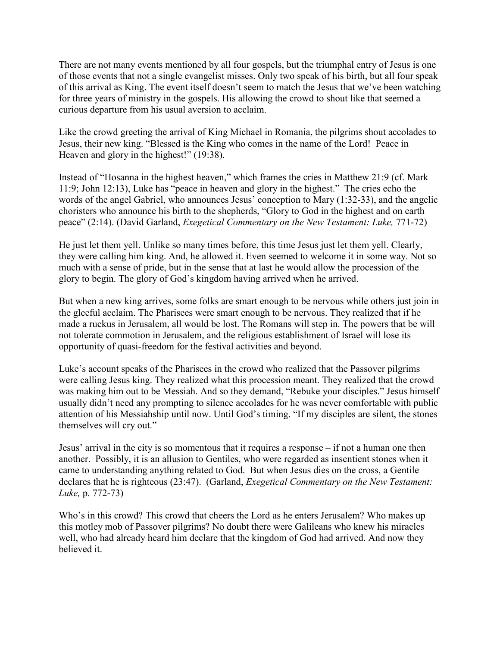There are not many events mentioned by all four gospels, but the triumphal entry of Jesus is one of those events that not a single evangelist misses. Only two speak of his birth, but all four speak of this arrival as King. The event itself doesn't seem to match the Jesus that we've been watching for three years of ministry in the gospels. His allowing the crowd to shout like that seemed a curious departure from his usual aversion to acclaim.

Like the crowd greeting the arrival of King Michael in Romania, the pilgrims shout accolades to Jesus, their new king. "Blessed is the King who comes in the name of the Lord! Peace in Heaven and glory in the highest!" (19:38).

Instead of "Hosanna in the highest heaven," which frames the cries in Matthew 21:9 (cf. Mark 11:9; John 12:13), Luke has "peace in heaven and glory in the highest." The cries echo the words of the angel Gabriel, who announces Jesus' conception to Mary (1:32-33), and the angelic choristers who announce his birth to the shepherds, "Glory to God in the highest and on earth peace" (2:14). (David Garland, *Exegetical Commentary on the New Testament: Luke,* 771-72)

He just let them yell. Unlike so many times before, this time Jesus just let them yell. Clearly, they were calling him king. And, he allowed it. Even seemed to welcome it in some way. Not so much with a sense of pride, but in the sense that at last he would allow the procession of the glory to begin. The glory of God's kingdom having arrived when he arrived.

But when a new king arrives, some folks are smart enough to be nervous while others just join in the gleeful acclaim. The Pharisees were smart enough to be nervous. They realized that if he made a ruckus in Jerusalem, all would be lost. The Romans will step in. The powers that be will not tolerate commotion in Jerusalem, and the religious establishment of Israel will lose its opportunity of quasi-freedom for the festival activities and beyond.

Luke's account speaks of the Pharisees in the crowd who realized that the Passover pilgrims were calling Jesus king. They realized what this procession meant. They realized that the crowd was making him out to be Messiah. And so they demand, "Rebuke your disciples." Jesus himself usually didn't need any prompting to silence accolades for he was never comfortable with public attention of his Messiahship until now. Until God's timing. "If my disciples are silent, the stones themselves will cry out."

Jesus' arrival in the city is so momentous that it requires a response – if not a human one then another. Possibly, it is an allusion to Gentiles, who were regarded as insentient stones when it came to understanding anything related to God. But when Jesus dies on the cross, a Gentile declares that he is righteous (23:47). (Garland, *Exegetical Commentary on the New Testament: Luke,* p. 772-73)

Who's in this crowd? This crowd that cheers the Lord as he enters Jerusalem? Who makes up this motley mob of Passover pilgrims? No doubt there were Galileans who knew his miracles well, who had already heard him declare that the kingdom of God had arrived. And now they believed it.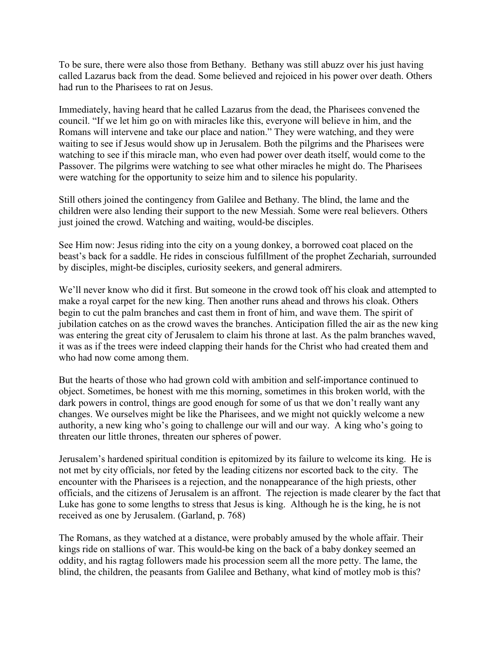To be sure, there were also those from Bethany. Bethany was still abuzz over his just having called Lazarus back from the dead. Some believed and rejoiced in his power over death. Others had run to the Pharisees to rat on Jesus.

Immediately, having heard that he called Lazarus from the dead, the Pharisees convened the council. "If we let him go on with miracles like this, everyone will believe in him, and the Romans will intervene and take our place and nation." They were watching, and they were waiting to see if Jesus would show up in Jerusalem. Both the pilgrims and the Pharisees were watching to see if this miracle man, who even had power over death itself, would come to the Passover. The pilgrims were watching to see what other miracles he might do. The Pharisees were watching for the opportunity to seize him and to silence his popularity.

Still others joined the contingency from Galilee and Bethany. The blind, the lame and the children were also lending their support to the new Messiah. Some were real believers. Others just joined the crowd. Watching and waiting, would-be disciples.

See Him now: Jesus riding into the city on a young donkey, a borrowed coat placed on the beast's back for a saddle. He rides in conscious fulfillment of the prophet Zechariah, surrounded by disciples, might-be disciples, curiosity seekers, and general admirers.

We'll never know who did it first. But someone in the crowd took off his cloak and attempted to make a royal carpet for the new king. Then another runs ahead and throws his cloak. Others begin to cut the palm branches and cast them in front of him, and wave them. The spirit of jubilation catches on as the crowd waves the branches. Anticipation filled the air as the new king was entering the great city of Jerusalem to claim his throne at last. As the palm branches waved, it was as if the trees were indeed clapping their hands for the Christ who had created them and who had now come among them.

But the hearts of those who had grown cold with ambition and self-importance continued to object. Sometimes, be honest with me this morning, sometimes in this broken world, with the dark powers in control, things are good enough for some of us that we don't really want any changes. We ourselves might be like the Pharisees, and we might not quickly welcome a new authority, a new king who's going to challenge our will and our way. A king who's going to threaten our little thrones, threaten our spheres of power.

Jerusalem's hardened spiritual condition is epitomized by its failure to welcome its king. He is not met by city officials, nor feted by the leading citizens nor escorted back to the city. The encounter with the Pharisees is a rejection, and the nonappearance of the high priests, other officials, and the citizens of Jerusalem is an affront. The rejection is made clearer by the fact that Luke has gone to some lengths to stress that Jesus is king. Although he is the king, he is not received as one by Jerusalem. (Garland, p. 768)

The Romans, as they watched at a distance, were probably amused by the whole affair. Their kings ride on stallions of war. This would-be king on the back of a baby donkey seemed an oddity, and his ragtag followers made his procession seem all the more petty. The lame, the blind, the children, the peasants from Galilee and Bethany, what kind of motley mob is this?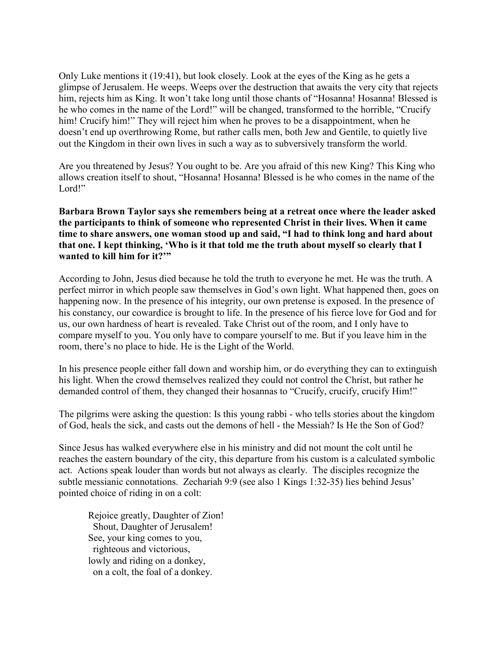Only Luke mentions it (19:41), but look closely. Look at the eyes of the King as he gets a glimpse of Jerusalem. He weeps. Weeps over the destruction that awaits the very city that rejects him, rejects him as King. It won't take long until those chants of "Hosanna! Hosanna! Blessed is he who comes in the name of the Lord!" will be changed, transformed to the horrible, "Crucify him! Crucify him!" They will reject him when he proves to be a disappointment, when he doesn't end up overthrowing Rome, but rather calls men, both Jew and Gentile, to quietly live out the Kingdom in their own lives in such a way as to subversively transform the world.

Are you threatened by Jesus? You ought to be. Are you afraid of this new King? This King who allows creation itself to shout, "Hosanna! Hosanna! Blessed is he who comes in the name of the Lord!"

**Barbara Brown Taylor says she remembers being at a retreat once where the leader asked the participants to think of someone who represented Christ in their lives. When it came time to share answers, one woman stood up and said, "I had to think long and hard about that one. I kept thinking, 'Who is it that told me the truth about myself so clearly that I wanted to kill him for it?'"** 

According to John, Jesus died because he told the truth to everyone he met. He was the truth. A perfect mirror in which people saw themselves in God's own light. What happened then, goes on happening now. In the presence of his integrity, our own pretense is exposed. In the presence of his constancy, our cowardice is brought to life. In the presence of his fierce love for God and for us, our own hardness of heart is revealed. Take Christ out of the room, and I only have to compare myself to you. You only have to compare yourself to me. But if you leave him in the room, there's no place to hide. He is the Light of the World.

In his presence people either fall down and worship him, or do everything they can to extinguish his light. When the crowd themselves realized they could not control the Christ, but rather he demanded control of them, they changed their hosannas to "Crucify, crucify, crucify Him!"

The pilgrims were asking the question: Is this young rabbi - who tells stories about the kingdom of God, heals the sick, and casts out the demons of hell - the Messiah? Is He the Son of God?

Since Jesus has walked everywhere else in his ministry and did not mount the colt until he reaches the eastern boundary of the city, this departure from his custom is a calculated symbolic act. Actions speak louder than words but not always as clearly. The disciples recognize the subtle messianic connotations. Zechariah 9:9 (see also 1 Kings 1:32-35) lies behind Jesus' pointed choice of riding in on a colt:

Rejoice greatly, Daughter of Zion! Shout, Daughter of Jerusalem! See, your king comes to you, righteous and victorious, lowly and riding on a donkey, on a colt, the foal of a donkey.